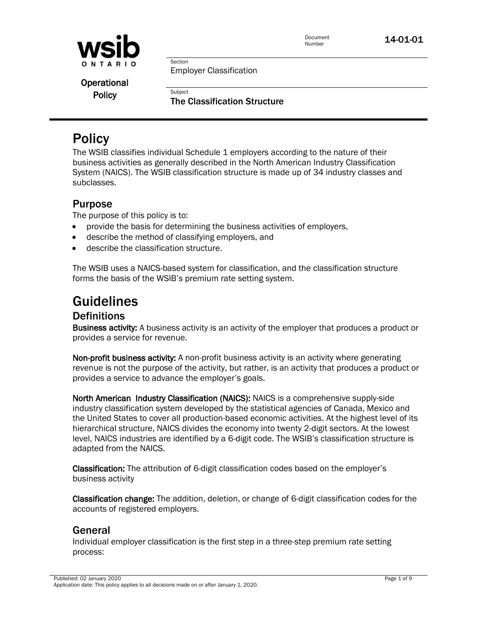

Employer Classification

Section

Subject

Operational **Policy** 

The Classification Structure

# **Policy**

The WSIB classifies individual Schedule 1 employers according to the nature of their business activities as generally described in the North American Industry Classification System (NAICS). The WSIB classification structure is made up of 34 industry classes and subclasses.

# Purpose

The purpose of this policy is to:

- provide the basis for determining the business activities of employers,
- describe the method of classifying employers, and
- describe the classification structure.

The WSIB uses a NAICS-based system for classification, and the classification structure forms the basis of the WSIB's premium rate setting system.

# Guidelines

# **Definitions**

Business activity: A business activity is an activity of the employer that produces a product or provides a service for revenue.

Non-profit business activity: A non-profit business activity is an activity where generating revenue is not the purpose of the activity, but rather, is an activity that produces a product or provides a service to advance the employer's goals.

North American Industry Classification (NAICS): NAICS is a comprehensive supply-side industry classification system developed by the statistical agencies of Canada, Mexico and the United States to cover all production-based economic activities. At the highest level of its hierarchical structure, NAICS divides the economy into twenty 2-digit sectors. At the lowest level, NAICS industries are identified by a 6-digit code. The WSIB's classification structure is adapted from the NAICS.

Classification: The attribution of 6-digit classification codes based on the employer's business activity

Classification change: The addition, deletion, or change of 6-digit classification codes for the accounts of registered employers.

# General

Individual employer classification is the first step in a three-step premium rate setting process:

Published: 02 January 2020 Application date: This policy applies to all decisions made on or after January 1, 2020.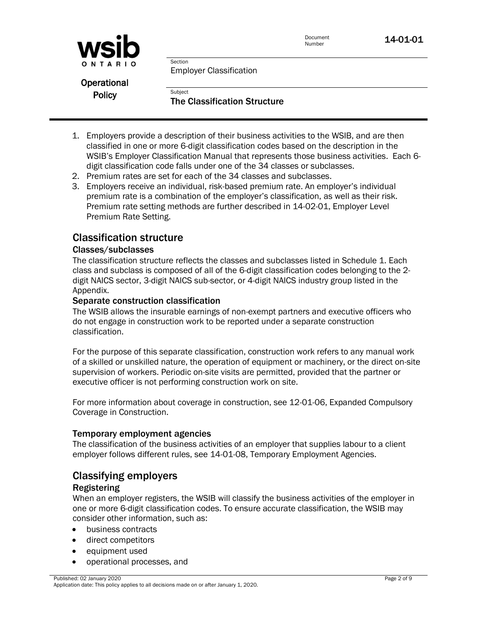



Employer Classification

Section

Subject

Operational **Policy** 

The Classification Structure

- 1. Employers provide a description of their business activities to the WSIB, and are then classified in one or more 6-digit classification codes based on the description in the WSIB's Employer Classification Manual that represents those business activities. Each 6 digit classification code falls under one of the 34 classes or subclasses.
- 2. Premium rates are set for each of the 34 classes and subclasses.
- 3. Employers receive an individual, risk-based premium rate. An employer's individual premium rate is a combination of the employer's classification, as well as their risk. Premium rate setting methods are further described in 14-02-01, Employer Level Premium Rate Setting.

# Classification structure

### Classes/subclasses

The classification structure reflects the classes and subclasses listed in Schedule 1. Each class and subclass is composed of all of the 6-digit classification codes belonging to the 2 digit NAICS sector, 3-digit NAICS sub-sector, or 4-digit NAICS industry group listed in the Appendix.

#### Separate construction classification

The WSIB allows the insurable earnings of non-exempt partners and executive officers who do not engage in construction work to be reported under a separate construction classification.

For the purpose of this separate classification, construction work refers to any manual work of a skilled or unskilled nature, the operation of equipment or machinery, or the direct on-site supervision of workers. Periodic on-site visits are permitted, provided that the partner or executive officer is not performing construction work on site.

For more information about coverage in construction, see 12-01-06, Expanded Compulsory Coverage in Construction.

#### Temporary employment agencies

The classification of the business activities of an employer that supplies labour to a client employer follows different rules, see 14-01-08, Temporary Employment Agencies.

# Classifying employers

### Registering

When an employer registers, the WSIB will classify the business activities of the employer in one or more 6-digit classification codes. To ensure accurate classification, the WSIB may consider other information, such as:

- business contracts
- direct competitors
- equipment used
- operational processes, and

Published: 02 January 2020 Application date: This policy applies to all decisions made on or after January 1, 2020.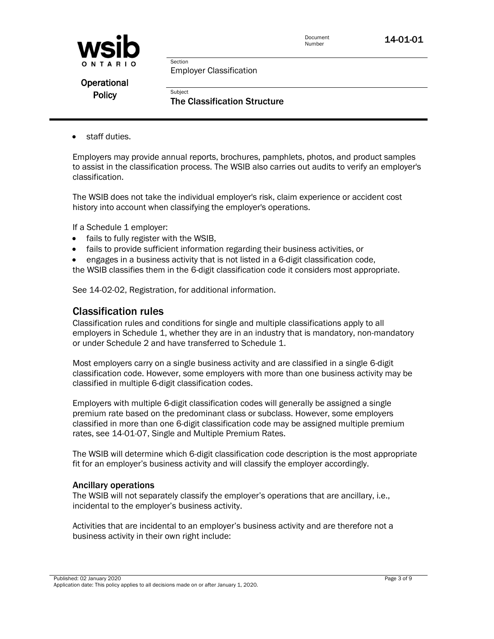



Employer Classification

Section

Subject

Operational **Policy** 

The Classification Structure

staff duties.

Employers may provide annual reports, brochures, pamphlets, photos, and product samples to assist in the classification process. The WSIB also carries out audits to verify an employer's classification.

The WSIB does not take the individual employer's risk, claim experience or accident cost history into account when classifying the employer's operations.

If a Schedule 1 employer:

- fails to fully register with the WSIB,
- fails to provide sufficient information regarding their business activities, or
- engages in a business activity that is not listed in a 6-digit classification code,
- the WSIB classifies them in the 6-digit classification code it considers most appropriate.

See [14-02-02, Registration,](http://www.wsib.on.ca/WSIBPortal/faces/WSIBManualPage?cGUID=14-02-02&rDef=WSIB_RD_OPM&fGUID=835502100635000491) for additional information.

### Classification rules

Classification rules and conditions for single and multiple classifications apply to all employers in Schedule 1, whether they are in an industry that is mandatory, non-mandatory or under Schedule 2 and have transferred to Schedule 1.

Most employers carry on a single business activity and are classified in a single 6-digit classification code. However, some employers with more than one business activity may be classified in multiple 6-digit classification codes.

Employers with multiple 6-digit classification codes will generally be assigned a single premium rate based on the predominant class or subclass. However, some employers classified in more than one 6-digit classification code may be assigned multiple premium rates, see 14-01-07, Single and Multiple Premium Rates.

The WSIB will determine which 6-digit classification code description is the most appropriate fit for an employer's business activity and will classify the employer accordingly.

#### Ancillary operations

The WSIB will not separately classify the employer's operations that are ancillary, i.e., incidental to the employer's business activity.

Activities that are incidental to an employer's business activity and are therefore not a business activity in their own right include: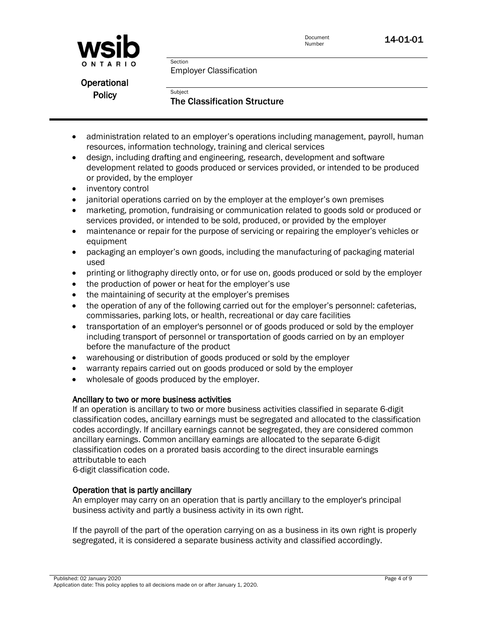



Employer Classification

Section

Subject

Operational **Policy** 

The Classification Structure

- administration related to an employer's operations including management, payroll, human resources, information technology, training and clerical services
- design, including drafting and engineering, research, development and software development related to goods produced or services provided, or intended to be produced or provided, by the employer
- inventory control
- janitorial operations carried on by the employer at the employer's own premises
- marketing, promotion, fundraising or communication related to goods sold or produced or services provided, or intended to be sold, produced, or provided by the employer
- maintenance or repair for the purpose of servicing or repairing the employer's vehicles or equipment
- packaging an employer's own goods, including the manufacturing of packaging material used
- printing or lithography directly onto, or for use on, goods produced or sold by the employer
- the production of power or heat for the employer's use
- the maintaining of security at the employer's premises
- the operation of any of the following carried out for the employer's personnel: cafeterias, commissaries, parking lots, or health, recreational or day care facilities
- transportation of an employer's personnel or of goods produced or sold by the employer including transport of personnel or transportation of goods carried on by an employer before the manufacture of the product
- warehousing or distribution of goods produced or sold by the employer
- warranty repairs carried out on goods produced or sold by the employer
- wholesale of goods produced by the employer.

#### Ancillary to two or more business activities

If an operation is ancillary to two or more business activities classified in separate 6-digit classification codes, ancillary earnings must be segregated and allocated to the classification codes accordingly. If ancillary earnings cannot be segregated, they are considered common ancillary earnings. Common ancillary earnings are allocated to the separate 6-digit classification codes on a prorated basis according to the direct insurable earnings attributable to each

6-digit classification code.

#### Operation that is partly ancillary

An employer may carry on an operation that is partly ancillary to the employer's principal business activity and partly a business activity in its own right.

If the payroll of the part of the operation carrying on as a business in its own right is properly segregated, it is considered a separate business activity and classified accordingly.

Published: 02 January 2020 Application date: This policy applies to all decisions made on or after January 1, 2020.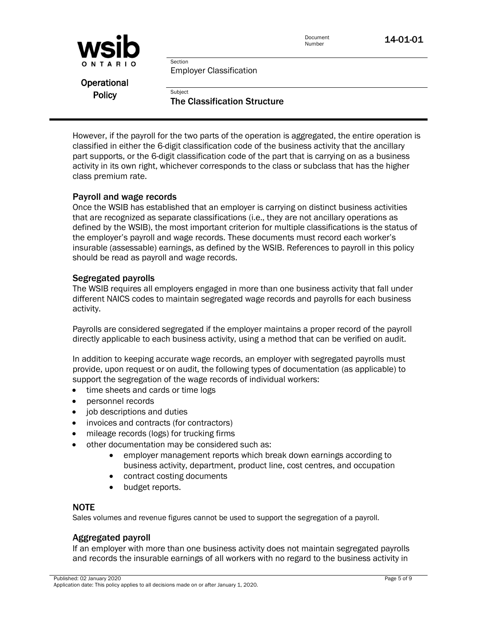

Employer Classification

Section

Subject

Operational **Policy** 

The Classification Structure

However, if the payroll for the two parts of the operation is aggregated, the entire operation is classified in either the 6-digit classification code of the business activity that the ancillary part supports, or the 6-digit classification code of the part that is carrying on as a business activity in its own right, whichever corresponds to the class or subclass that has the higher class premium rate.

#### Payroll and wage records

Once the WSIB has established that an employer is carrying on distinct business activities that are recognized as separate classifications (i.e., they are not ancillary operations as defined by the WSIB), the most important criterion for multiple classifications is the status of the employer's payroll and wage records. These documents must record each worker's insurable (assessable) earnings, as defined by the WSIB. References to payroll in this policy should be read as payroll and wage records.

#### Segregated payrolls

The WSIB requires all employers engaged in more than one business activity that fall under different NAICS codes to maintain segregated wage records and payrolls for each business activity.

Payrolls are considered segregated if the employer maintains a proper record of the payroll directly applicable to each business activity, using a method that can be verified on audit.

In addition to keeping accurate wage records, an employer with segregated payrolls must provide, upon request or on audit, the following types of documentation (as applicable) to support the segregation of the wage records of individual workers:

- time sheets and cards or time logs
- personnel records
- job descriptions and duties
- invoices and contracts (for contractors)
- mileage records (logs) for trucking firms
- other documentation may be considered such as:
	- employer management reports which break down earnings according to business activity, department, product line, cost centres, and occupation
	- contract costing documents
	- budget reports.

#### NOTE

Sales volumes and revenue figures cannot be used to support the segregation of a payroll.

#### Aggregated payroll

If an employer with more than one business activity does not maintain segregated payrolls and records the insurable earnings of all workers with no regard to the business activity in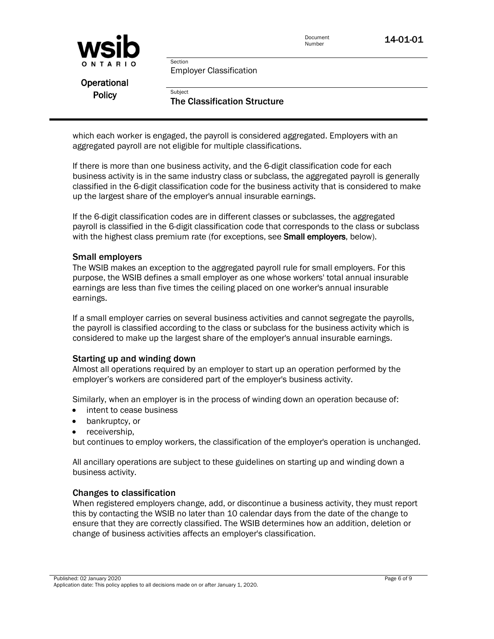

Employer Classification

Section

Subject

Operational **Policy** 

The Classification Structure

which each worker is engaged, the payroll is considered aggregated. Employers with an aggregated payroll are not eligible for multiple classifications.

If there is more than one business activity, and the 6-digit classification code for each business activity is in the same industry class or subclass, the aggregated payroll is generally classified in the 6-digit classification code for the business activity that is considered to make up the largest share of the employer's annual insurable earnings.

If the 6-digit classification codes are in different classes or subclasses, the aggregated payroll is classified in the 6-digit classification code that corresponds to the class or subclass with the highest class premium rate (for exceptions, see **Small employers**, below).

#### Small employers

The WSIB makes an exception to the aggregated payroll rule for small employers. For this purpose, the WSIB defines a small employer as one whose workers' total annual insurable earnings are less than five times the ceiling placed on one worker's annual insurable earnings.

If a small employer carries on several business activities and cannot segregate the payrolls, the payroll is classified according to the class or subclass for the business activity which is considered to make up the largest share of the employer's annual insurable earnings.

#### Starting up and winding down

Almost all operations required by an employer to start up an operation performed by the employer's workers are considered part of the employer's business activity.

Similarly, when an employer is in the process of winding down an operation because of:

- intent to cease business
- bankruptcy, or
- receivership,

but continues to employ workers, the classification of the employer's operation is unchanged.

All ancillary operations are subject to these guidelines on starting up and winding down a business activity.

#### Changes to classification

When registered employers change, add, or discontinue a business activity, they must report this by contacting the WSIB no later than 10 calendar days from the date of the change to ensure that they are correctly classified. The WSIB determines how an addition, deletion or change of business activities affects an employer's classification.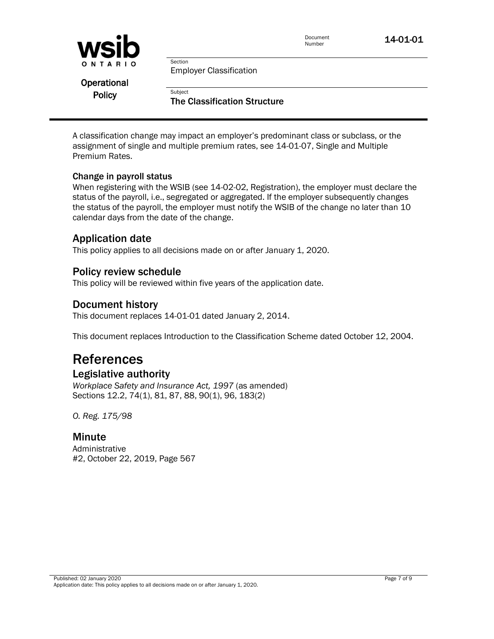

Employer Classification

Section

Subject

**Operational Policy** 

The Classification Structure

A classification change may impact an employer's predominant class or subclass, or the assignment of single and multiple premium rates, see 14-01-07, Single and Multiple Premium Rates.

#### Change in payroll status

When registering with the WSIB (see 14-02-02, Registration), the employer must declare the status of the payroll, i.e., segregated or aggregated. If the employer subsequently changes the status of the payroll, the employer must notify the WSIB of the change no later than 10 calendar days from the date of the change.

# Application date

This policy applies to all decisions made on or after January 1, 2020.

# Policy review schedule

This policy will be reviewed within five years of the application date.

# Document history

This document replaces 14-01-01 dated January 2, 2014.

This document replaces Introduction to the Classification Scheme dated October 12, 2004.

# References

# Legislative authority

*Workplace Safety and Insurance Act, 1997* (as amended) Sections 12.2, 74(1), 81, 87, 88, 90(1), 96, 183(2)

*O. Reg. 175/98*

### Minute

Administrative #2, October 22, 2019, Page 567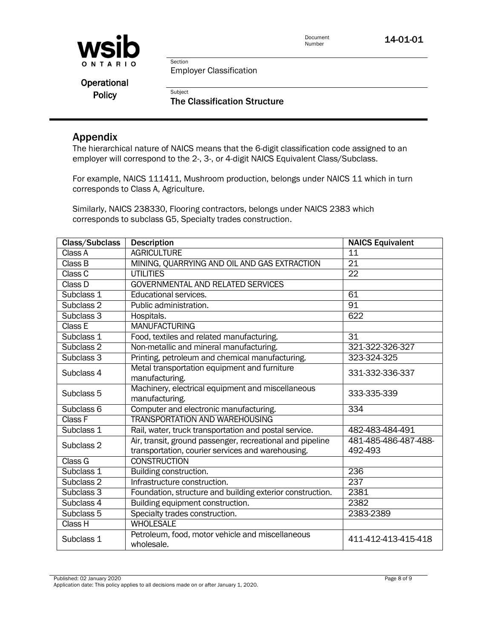

Document<br>Number **14-01-01** 

Section Employer Classification

Subject

Operational **Policy** 

The Classification Structure

### Appendix

The hierarchical nature of NAICS means that the 6-digit classification code assigned to an employer will correspond to the 2-, 3-, or 4-digit NAICS Equivalent Class/Subclass.

For example, NAICS 111411, Mushroom production, belongs under NAICS 11 which in turn corresponds to Class A, Agriculture.

Similarly, NAICS 238330, Flooring contractors, belongs under NAICS 2383 which corresponds to subclass G5, Specialty trades construction.

| Class/Subclass | <b>Description</b>                                                                                             | <b>NAICS Equivalent</b>         |
|----------------|----------------------------------------------------------------------------------------------------------------|---------------------------------|
| Class A        | <b>AGRICULTURE</b>                                                                                             | 11                              |
| Class B        | MINING, QUARRYING AND OIL AND GAS EXTRACTION                                                                   | $\overline{21}$                 |
| Class C        | <b>UTILITIES</b>                                                                                               | 22                              |
| Class D        | <b>GOVERNMENTAL AND RELATED SERVICES</b>                                                                       |                                 |
| Subclass 1     | Educational services.                                                                                          | 61                              |
| Subclass 2     | Public administration.                                                                                         | $\overline{91}$                 |
| Subclass 3     | Hospitals.                                                                                                     | 622                             |
| Class E        | <b>MANUFACTURING</b>                                                                                           |                                 |
| Subclass 1     | Food, textiles and related manufacturing.                                                                      | $\overline{31}$                 |
| Subclass 2     | Non-metallic and mineral manufacturing.                                                                        | 321-322-326-327                 |
| Subclass 3     | Printing, petroleum and chemical manufacturing.                                                                | 323-324-325                     |
| Subclass 4     | Metal transportation equipment and furniture<br>manufacturing.                                                 | 331-332-336-337                 |
| Subclass 5     | Machinery, electrical equipment and miscellaneous<br>manufacturing.                                            | 333-335-339                     |
| Subclass 6     | Computer and electronic manufacturing.                                                                         | 334                             |
| Class F        | <b>TRANSPORTATION AND WAREHOUSING</b>                                                                          |                                 |
| Subclass 1     | Rail, water, truck transportation and postal service.                                                          | 482-483-484-491                 |
| Subclass 2     | Air, transit, ground passenger, recreational and pipeline<br>transportation, courier services and warehousing. | 481-485-486-487-488-<br>492-493 |
| Class G        | <b>CONSTRUCTION</b>                                                                                            |                                 |
| Subclass 1     | Building construction.                                                                                         | 236                             |
| Subclass 2     | Infrastructure construction.                                                                                   | 237                             |
| Subclass 3     | Foundation, structure and building exterior construction.                                                      | 2381                            |
| Subclass 4     | Building equipment construction.                                                                               | 2382                            |
| Subclass 5     | Specialty trades construction.                                                                                 | 2383-2389                       |
| Class H        | <b>WHOLESALE</b>                                                                                               |                                 |
| Subclass 1     | Petroleum, food, motor vehicle and miscellaneous<br>wholesale.                                                 | 411-412-413-415-418             |